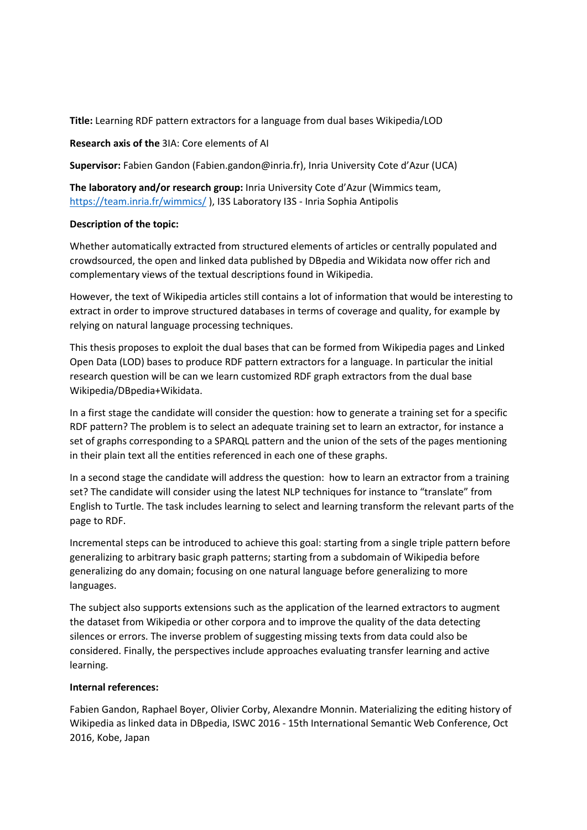**Title:** Learning RDF pattern extractors for a language from dual bases Wikipedia/LOD

## **Research axis of the** 3IA: Core elements of AI

**Supervisor:** Fabien Gandon (Fabien.gandon@inria.fr), Inria University Cote d'Azur (UCA)

**The laboratory and/or research group:** Inria University Cote d'Azur (Wimmics team, <https://team.inria.fr/wimmics/> ), I3S Laboratory I3S - Inria Sophia Antipolis

## **Description of the topic:**

Whether automatically extracted from structured elements of articles or centrally populated and crowdsourced, the open and linked data published by DBpedia and Wikidata now offer rich and complementary views of the textual descriptions found in Wikipedia.

However, the text of Wikipedia articles still contains a lot of information that would be interesting to extract in order to improve structured databases in terms of coverage and quality, for example by relying on natural language processing techniques.

This thesis proposes to exploit the dual bases that can be formed from Wikipedia pages and Linked Open Data (LOD) bases to produce RDF pattern extractors for a language. In particular the initial research question will be can we learn customized RDF graph extractors from the dual base Wikipedia/DBpedia+Wikidata.

In a first stage the candidate will consider the question: how to generate a training set for a specific RDF pattern? The problem is to select an adequate training set to learn an extractor, for instance a set of graphs corresponding to a SPARQL pattern and the union of the sets of the pages mentioning in their plain text all the entities referenced in each one of these graphs.

In a second stage the candidate will address the question: how to learn an extractor from a training set? The candidate will consider using the latest NLP techniques for instance to "translate" from English to Turtle. The task includes learning to select and learning transform the relevant parts of the page to RDF.

Incremental steps can be introduced to achieve this goal: starting from a single triple pattern before generalizing to arbitrary basic graph patterns; starting from a subdomain of Wikipedia before generalizing do any domain; focusing on one natural language before generalizing to more languages.

The subject also supports extensions such as the application of the learned extractors to augment the dataset from Wikipedia or other corpora and to improve the quality of the data detecting silences or errors. The inverse problem of suggesting missing texts from data could also be considered. Finally, the perspectives include approaches evaluating transfer learning and active learning.

## **Internal references:**

Fabien Gandon, Raphael Boyer, Olivier Corby, Alexandre Monnin. Materializing the editing history of Wikipedia as linked data in DBpedia, ISWC 2016 - 15th International Semantic Web Conference, Oct 2016, Kobe, Japan